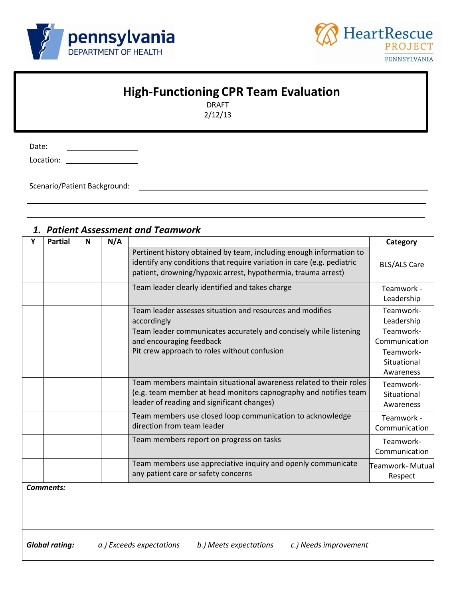



# **High-Functioning CPR Team Evaluation**

DRAFT 2/12/13

Date:

Location: \_ <u> 1990 - Johann Barbara, martin a</u>

Scenario/Patient Background:

| Υ | <b>Partial</b>   | N | N/A |                                                                                                                                                                                                                | Category                              |
|---|------------------|---|-----|----------------------------------------------------------------------------------------------------------------------------------------------------------------------------------------------------------------|---------------------------------------|
|   |                  |   |     | Pertinent history obtained by team, including enough information to<br>identify any conditions that require variation in care (e.g. pediatric<br>patient, drowning/hypoxic arrest, hypothermia, trauma arrest) | <b>BLS/ALS Care</b>                   |
|   |                  |   |     | Team leader clearly identified and takes charge                                                                                                                                                                | Teamwork -<br>Leadership              |
|   |                  |   |     | Team leader assesses situation and resources and modifies<br>accordingly                                                                                                                                       | Teamwork-<br>Leadership               |
|   |                  |   |     | Team leader communicates accurately and concisely while listening<br>and encouraging feedback                                                                                                                  | Teamwork-<br>Communication            |
|   |                  |   |     | Pit crew approach to roles without confusion                                                                                                                                                                   | Teamwork-<br>Situational<br>Awareness |
|   |                  |   |     | Team members maintain situational awareness related to their roles<br>(e.g. team member at head monitors capnography and notifies team<br>leader of reading and significant changes)                           | Teamwork-<br>Situational<br>Awareness |
|   |                  |   |     | Team members use closed loop communication to acknowledge<br>direction from team leader                                                                                                                        | Teamwork -<br>Communication           |
|   |                  |   |     | Team members report on progress on tasks                                                                                                                                                                       | Teamwork-<br>Communication            |
|   |                  |   |     | Team members use appreciative inquiry and openly communicate<br>any patient care or safety concerns                                                                                                            | Teamwork- Mutual<br>Respect           |
|   | <b>Comments:</b> |   |     |                                                                                                                                                                                                                |                                       |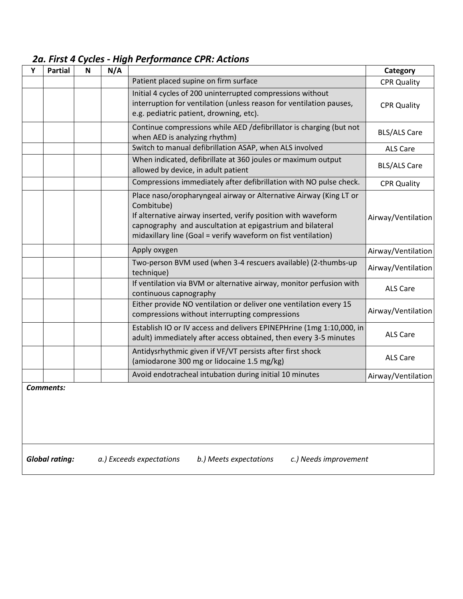### *2a. First 4 Cycles - High Performance CPR: Actions*

| Y                                                                                                    | <b>Partial</b> | $\mathbf N$ | N/A |                                                                                                                                                                                                                                                                                | Category            |
|------------------------------------------------------------------------------------------------------|----------------|-------------|-----|--------------------------------------------------------------------------------------------------------------------------------------------------------------------------------------------------------------------------------------------------------------------------------|---------------------|
|                                                                                                      |                |             |     | Patient placed supine on firm surface                                                                                                                                                                                                                                          | <b>CPR Quality</b>  |
|                                                                                                      |                |             |     | Initial 4 cycles of 200 uninterrupted compressions without<br>interruption for ventilation (unless reason for ventilation pauses,<br>e.g. pediatric patient, drowning, etc).                                                                                                   | <b>CPR Quality</b>  |
|                                                                                                      |                |             |     | Continue compressions while AED /defibrillator is charging (but not<br>when AED is analyzing rhythm)                                                                                                                                                                           | <b>BLS/ALS Care</b> |
|                                                                                                      |                |             |     | Switch to manual defibrillation ASAP, when ALS involved                                                                                                                                                                                                                        | ALS Care            |
|                                                                                                      |                |             |     | When indicated, defibrillate at 360 joules or maximum output<br>allowed by device, in adult patient                                                                                                                                                                            | <b>BLS/ALS Care</b> |
|                                                                                                      |                |             |     | Compressions immediately after defibrillation with NO pulse check.                                                                                                                                                                                                             | <b>CPR Quality</b>  |
|                                                                                                      |                |             |     | Place naso/oropharyngeal airway or Alternative Airway (King LT or<br>Combitube)<br>If alternative airway inserted, verify position with waveform<br>capnography and auscultation at epigastrium and bilateral<br>midaxillary line (Goal = verify waveform on fist ventilation) | Airway/Ventilation  |
|                                                                                                      |                |             |     | Apply oxygen                                                                                                                                                                                                                                                                   | Airway/Ventilation  |
|                                                                                                      |                |             |     | Two-person BVM used (when 3-4 rescuers available) (2-thumbs-up<br>technique)                                                                                                                                                                                                   | Airway/Ventilation  |
|                                                                                                      |                |             |     | If ventilation via BVM or alternative airway, monitor perfusion with<br>continuous capnography                                                                                                                                                                                 | <b>ALS Care</b>     |
|                                                                                                      |                |             |     | Either provide NO ventilation or deliver one ventilation every 15<br>compressions without interrupting compressions                                                                                                                                                            | Airway/Ventilation  |
|                                                                                                      |                |             |     | Establish IO or IV access and delivers EPINEPHrine (1mg 1:10,000, in<br>adult) immediately after access obtained, then every 3-5 minutes                                                                                                                                       | <b>ALS Care</b>     |
|                                                                                                      |                |             |     | Antidysrhythmic given if VF/VT persists after first shock<br>(amiodarone 300 mg or lidocaine 1.5 mg/kg)                                                                                                                                                                        | <b>ALS Care</b>     |
|                                                                                                      |                |             |     | Avoid endotracheal intubation during initial 10 minutes                                                                                                                                                                                                                        | Airway/Ventilation  |
| Comments:                                                                                            |                |             |     |                                                                                                                                                                                                                                                                                |                     |
| <b>Global rating:</b><br>a.) Exceeds expectations<br>b.) Meets expectations<br>c.) Needs improvement |                |             |     |                                                                                                                                                                                                                                                                                |                     |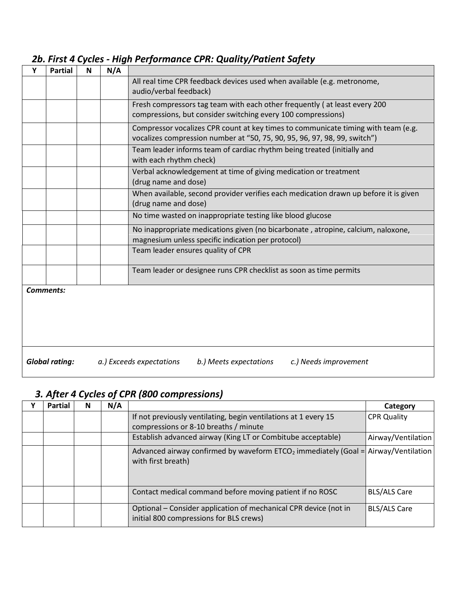### *2b. First 4 Cycles - High Performance CPR: Quality/Patient Safety*

| Y                                                                                                    | <b>Partial</b> | N | N/A |                                                                                                                                                                |
|------------------------------------------------------------------------------------------------------|----------------|---|-----|----------------------------------------------------------------------------------------------------------------------------------------------------------------|
|                                                                                                      |                |   |     | All real time CPR feedback devices used when available (e.g. metronome,<br>audio/verbal feedback)                                                              |
|                                                                                                      |                |   |     | Fresh compressors tag team with each other frequently (at least every 200<br>compressions, but consider switching every 100 compressions)                      |
|                                                                                                      |                |   |     | Compressor vocalizes CPR count at key times to communicate timing with team (e.g.<br>vocalizes compression number at "50, 75, 90, 95, 96, 97, 98, 99, switch") |
|                                                                                                      |                |   |     | Team leader informs team of cardiac rhythm being treated (initially and<br>with each rhythm check)                                                             |
|                                                                                                      |                |   |     | Verbal acknowledgement at time of giving medication or treatment<br>(drug name and dose)                                                                       |
|                                                                                                      |                |   |     | When available, second provider verifies each medication drawn up before it is given<br>(drug name and dose)                                                   |
|                                                                                                      |                |   |     | No time wasted on inappropriate testing like blood glucose                                                                                                     |
|                                                                                                      |                |   |     | No inappropriate medications given (no bicarbonate, atropine, calcium, naloxone,<br>magnesium unless specific indication per protocol)                         |
|                                                                                                      |                |   |     | Team leader ensures quality of CPR                                                                                                                             |
|                                                                                                      |                |   |     | Team leader or designee runs CPR checklist as soon as time permits                                                                                             |
| <b>Comments:</b>                                                                                     |                |   |     |                                                                                                                                                                |
|                                                                                                      |                |   |     |                                                                                                                                                                |
| <b>Global rating:</b><br>a.) Exceeds expectations<br>b.) Meets expectations<br>c.) Needs improvement |                |   |     |                                                                                                                                                                |

#### *3. After 4 Cycles of CPR (800 compressions)*

| <b>Partial</b> | N. | N/A |                                                                                                             | Category            |
|----------------|----|-----|-------------------------------------------------------------------------------------------------------------|---------------------|
|                |    |     | If not previously ventilating, begin ventilations at 1 every 15                                             | <b>CPR Quality</b>  |
|                |    |     | compressions or 8-10 breaths / minute                                                                       |                     |
|                |    |     | Establish advanced airway (King LT or Combitube acceptable)                                                 | Airway/Ventilation  |
|                |    |     | Advanced airway confirmed by waveform $ETCO2$ immediately (Goal = Airway/Ventilation<br>with first breath)  |                     |
|                |    |     | Contact medical command before moving patient if no ROSC                                                    | <b>BLS/ALS Care</b> |
|                |    |     | Optional – Consider application of mechanical CPR device (not in<br>initial 800 compressions for BLS crews) | <b>BLS/ALS Care</b> |